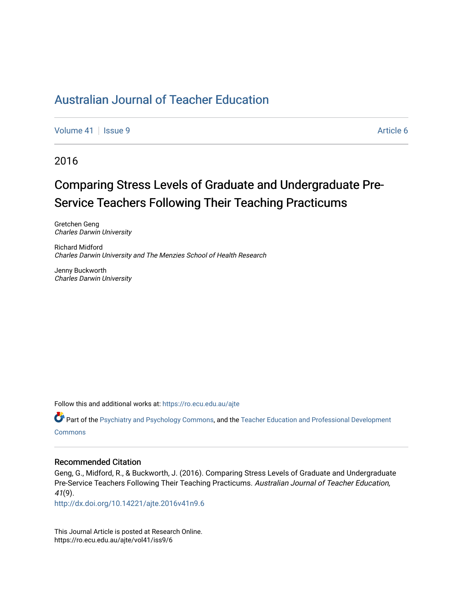[Volume 41](https://ro.ecu.edu.au/ajte/vol41) | [Issue 9](https://ro.ecu.edu.au/ajte/vol41/iss9) Article 6

2016

# Comparing Stress Levels of Graduate and Undergraduate Pre-Service Teachers Following Their Teaching Practicums

Gretchen Geng Charles Darwin University

Richard Midford Charles Darwin University and The Menzies School of Health Research

Jenny Buckworth Charles Darwin University

Follow this and additional works at: [https://ro.ecu.edu.au/ajte](https://ro.ecu.edu.au/ajte?utm_source=ro.ecu.edu.au%2Fajte%2Fvol41%2Fiss9%2F6&utm_medium=PDF&utm_campaign=PDFCoverPages) 

Part of the [Psychiatry and Psychology Commons,](http://network.bepress.com/hgg/discipline/908?utm_source=ro.ecu.edu.au%2Fajte%2Fvol41%2Fiss9%2F6&utm_medium=PDF&utm_campaign=PDFCoverPages) and the [Teacher Education and Professional Development](http://network.bepress.com/hgg/discipline/803?utm_source=ro.ecu.edu.au%2Fajte%2Fvol41%2Fiss9%2F6&utm_medium=PDF&utm_campaign=PDFCoverPages) **Commons** 

#### Recommended Citation

Geng, G., Midford, R., & Buckworth, J. (2016). Comparing Stress Levels of Graduate and Undergraduate Pre-Service Teachers Following Their Teaching Practicums. Australian Journal of Teacher Education, 41(9).

<http://dx.doi.org/10.14221/ajte.2016v41n9.6>

This Journal Article is posted at Research Online. https://ro.ecu.edu.au/ajte/vol41/iss9/6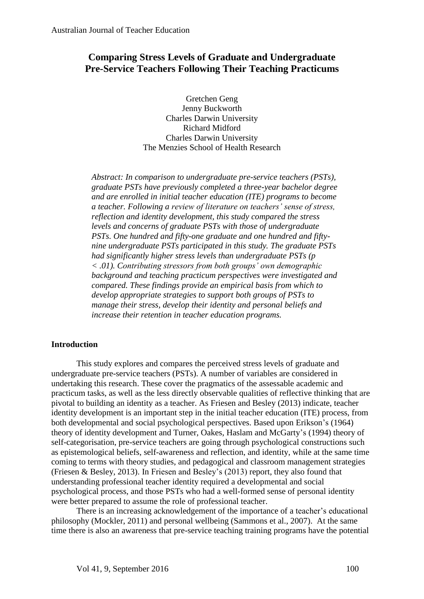## **Comparing Stress Levels of Graduate and Undergraduate Pre-Service Teachers Following Their Teaching Practicums**

Gretchen Geng Jenny Buckworth Charles Darwin University Richard Midford Charles Darwin University The Menzies School of Health Research

*Abstract: In comparison to undergraduate pre-service teachers (PSTs), graduate PSTs have previously completed a three-year bachelor degree and are enrolled in initial teacher education (ITE) programs to become a teacher. Following a review of literature on teachers' sense of stress, reflection and identity development, this study compared the stress levels and concerns of graduate PSTs with those of undergraduate PSTs. One hundred and fifty-one graduate and one hundred and fiftynine undergraduate PSTs participated in this study. The graduate PSTs had significantly higher stress levels than undergraduate PSTs (p < .01). Contributing stressors from both groups' own demographic background and teaching practicum perspectives were investigated and compared. These findings provide an empirical basis from which to develop appropriate strategies to support both groups of PSTs to manage their stress, develop their identity and personal beliefs and increase their retention in teacher education programs.*

#### **Introduction**

This study explores and compares the perceived stress levels of graduate and undergraduate pre-service teachers (PSTs). A number of variables are considered in undertaking this research. These cover the pragmatics of the assessable academic and practicum tasks, as well as the less directly observable qualities of reflective thinking that are pivotal to building an identity as a teacher. As Friesen and Besley (2013) indicate, teacher identity development is an important step in the initial teacher education (ITE) process, from both developmental and social psychological perspectives. Based upon Erikson's (1964) theory of identity development and Turner, Oakes, Haslam and McGarty's (1994) theory of self-categorisation, pre-service teachers are going through psychological constructions such as epistemological beliefs, self-awareness and reflection, and identity, while at the same time coming to terms with theory studies, and pedagogical and classroom management strategies (Friesen & Besley, 2013). In Friesen and Besley's (2013) report, they also found that understanding professional teacher identity required a developmental and social psychological process, and those PSTs who had a well-formed sense of personal identity were better prepared to assume the role of professional teacher.

There is an increasing acknowledgement of the importance of a teacher's educational philosophy (Mockler, 2011) and personal wellbeing (Sammons et al., 2007). At the same time there is also an awareness that pre-service teaching training programs have the potential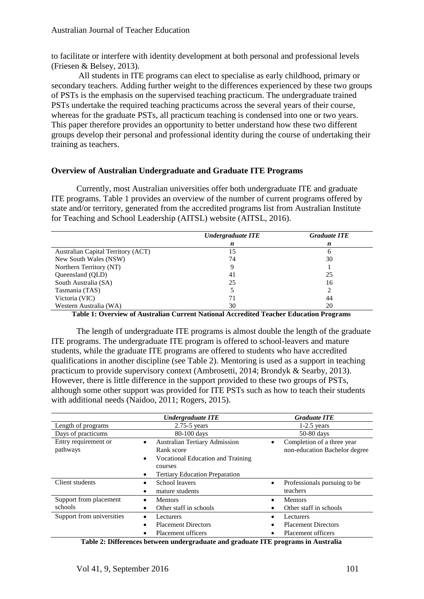to facilitate or interfere with identity development at both personal and professional levels (Friesen & Belsey, 2013).

All students in ITE programs can elect to specialise as early childhood, primary or secondary teachers. Adding further weight to the differences experienced by these two groups of PSTs is the emphasis on the supervised teaching practicum. The undergraduate trained PSTs undertake the required teaching practicums across the several years of their course, whereas for the graduate PSTs, all practicum teaching is condensed into one or two years. This paper therefore provides an opportunity to better understand how these two different groups develop their personal and professional identity during the course of undertaking their training as teachers.

#### **Overview of Australian Undergraduate and Graduate ITE Programs**

Currently, most Australian universities offer both undergraduate ITE and graduate ITE programs. Table 1 provides an overview of the number of current programs offered by state and/or territory, generated from the accredited programs list from Australian Institute for Teaching and School Leadership (AITSL) website (AITSL, 2016).

|                                    | Undergraduate ITE | <b>Graduate ITE</b> |
|------------------------------------|-------------------|---------------------|
|                                    | n                 | n                   |
| Australian Capital Territory (ACT) | 15                | n                   |
| New South Wales (NSW)              | 74                | 30                  |
| Northern Territory (NT)            |                   |                     |
| Queensland (QLD)                   | 41                | 25                  |
| South Australia (SA)               | 25                | 16                  |
| Tasmania (TAS)                     |                   |                     |
| Victoria (VIC)                     | 71                | 44                  |
| Western Australia (WA)             | 30                | 20                  |

**Table 1: Overview of Australian Current National Accredited Teacher Education Programs** 

The length of undergraduate ITE programs is almost double the length of the graduate ITE programs. The undergraduate ITE program is offered to school-leavers and mature students, while the graduate ITE programs are offered to students who have accredited qualifications in another discipline (see Table 2). Mentoring is used as a support in teaching practicum to provide supervisory context (Ambrosetti, 2014; Brondyk & Searby, 2013). However, there is little difference in the support provided to these two groups of PSTs, although some other support was provided for ITE PSTs such as how to teach their students with additional needs (Naidoo, 2011; Rogers, 2015).

| $2.75 - 5$ years<br>Length of programs<br>Days of practicums<br>80-100 days<br>Entry requirement or<br><b>Australian Tertiary Admission</b><br>٠<br>$\bullet$<br>pathways<br>Rank score | $1-2.5$ years<br>$50-80$ days<br>Completion of a three year |
|-----------------------------------------------------------------------------------------------------------------------------------------------------------------------------------------|-------------------------------------------------------------|
|                                                                                                                                                                                         |                                                             |
|                                                                                                                                                                                         |                                                             |
| Vocational Education and Training<br>$\bullet$<br>courses<br><b>Tertiary Education Preparation</b>                                                                                      | non-education Bachelor degree                               |
| Client students<br>School leavers<br>$\bullet$<br>teachers<br>mature students                                                                                                           | Professionals pursuing to be                                |
| Support from placement<br><b>Mentors</b><br><b>Mentors</b><br>$\bullet$<br>schools<br>Other staff in schools                                                                            | Other staff in schools                                      |
| Support from universities<br>Lecturers<br>Lecturers<br>$\bullet$<br>٠<br><b>Placement Directors</b><br><b>Placement Directors</b><br>٠<br>Placement officers<br>Placement officers      |                                                             |

**Table 2: Differences between undergraduate and graduate ITE programs in Australia**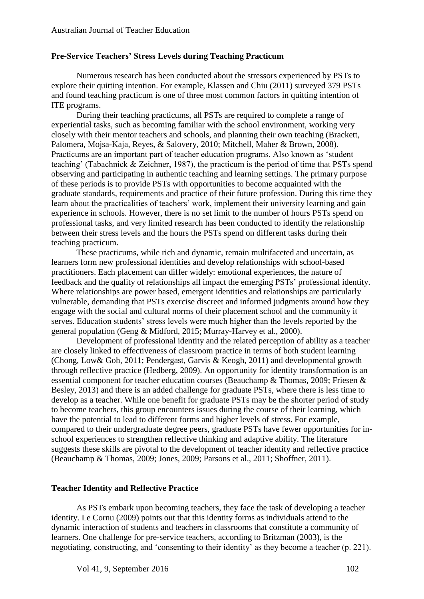## **Pre-Service Teachers' Stress Levels during Teaching Practicum**

Numerous research has been conducted about the stressors experienced by PSTs to explore their quitting intention. For example, Klassen and Chiu (2011) surveyed 379 PSTs and found teaching practicum is one of three most common factors in quitting intention of ITE programs.

During their teaching practicums, all PSTs are required to complete a range of experiential tasks, such as becoming familiar with the school environment, working very closely with their mentor teachers and schools, and planning their own teaching (Brackett, Palomera, Mojsa-Kaja, Reyes, & Salovery, 2010; Mitchell, Maher & Brown, 2008). Practicums are an important part of teacher education programs. Also known as 'student teaching' (Tabachnick & Zeichner, 1987), the practicum is the period of time that PSTs spend observing and participating in authentic teaching and learning settings. The primary purpose of these periods is to provide PSTs with opportunities to become acquainted with the graduate standards, requirements and practice of their future profession. During this time they learn about the practicalities of teachers' work, implement their university learning and gain experience in schools. However, there is no set limit to the number of hours PSTs spend on professional tasks, and very limited research has been conducted to identify the relationship between their stress levels and the hours the PSTs spend on different tasks during their teaching practicum.

These practicums, while rich and dynamic, remain multifaceted and uncertain, as learners form new professional identities and develop relationships with school-based practitioners. Each placement can differ widely: emotional experiences, the nature of feedback and the quality of relationships all impact the emerging PSTs' professional identity. Where relationships are power based, emergent identities and relationships are particularly vulnerable, demanding that PSTs exercise discreet and informed judgments around how they engage with the social and cultural norms of their placement school and the community it serves. Education students' stress levels were much higher than the levels reported by the general population (Geng & Midford, 2015; Murray-Harvey et al., 2000).

Development of professional identity and the related perception of ability as a teacher are closely linked to effectiveness of classroom practice in terms of both student learning (Chong, Low& Goh, 2011; Pendergast, Garvis & Keogh, 2011) and developmental growth through reflective practice (Hedberg, 2009). An opportunity for identity transformation is an essential component for teacher education courses (Beauchamp & Thomas, 2009; Friesen & Besley, 2013) and there is an added challenge for graduate PSTs, where there is less time to develop as a teacher. While one benefit for graduate PSTs may be the shorter period of study to become teachers, this group encounters issues during the course of their learning, which have the potential to lead to different forms and higher levels of stress. For example, compared to their undergraduate degree peers, graduate PSTs have fewer opportunities for inschool experiences to strengthen reflective thinking and adaptive ability. The literature suggests these skills are pivotal to the development of teacher identity and reflective practice (Beauchamp & Thomas, 2009; Jones, 2009; Parsons et al., 2011; Shoffner, 2011).

#### **Teacher Identity and Reflective Practice**

As PSTs embark upon becoming teachers, they face the task of developing a teacher identity. Le Cornu (2009) points out that this identity forms as individuals attend to the dynamic interaction of students and teachers in classrooms that constitute a community of learners. One challenge for pre-service teachers, according to Britzman (2003), is the negotiating, constructing, and 'consenting to their identity' as they become a teacher (p. 221).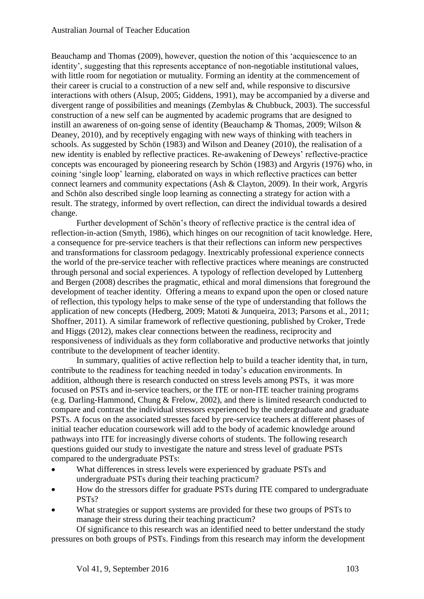Beauchamp and Thomas (2009), however, question the notion of this 'acquiescence to an identity', suggesting that this represents acceptance of non-negotiable institutional values, with little room for negotiation or mutuality. Forming an identity at the commencement of their career is crucial to a construction of a new self and, while responsive to discursive interactions with others (Alsup, 2005; Giddens, 1991), may be accompanied by a diverse and divergent range of possibilities and meanings (Zembylas & Chubbuck, 2003). The successful construction of a new self can be augmented by academic programs that are designed to instill an awareness of on-going sense of identity (Beauchamp & Thomas, 2009; Wilson & Deaney, 2010), and by receptively engaging with new ways of thinking with teachers in schools. As suggested by Schön (1983) and Wilson and Deaney (2010), the realisation of a new identity is enabled by reflective practices. Re-awakening of Deweys' reflective-practice concepts was encouraged by pioneering research by Schön (1983) and Argyris (1976) who, in coining 'single loop' learning, elaborated on ways in which reflective practices can better connect learners and community expectations (Ash & Clayton, 2009). In their work, Argyris and Schön also described single loop learning as connecting a strategy for action with a result. The strategy, informed by overt reflection, can direct the individual towards a desired change.

Further development of Schön's theory of reflective practice is the central idea of reflection-in-action (Smyth, 1986), which hinges on our recognition of tacit knowledge. Here, a consequence for pre-service teachers is that their reflections can inform new perspectives and transformations for classroom pedagogy. Inextricably professional experience connects the world of the pre-service teacher with reflective practices where meanings are constructed through personal and social experiences. A typology of reflection developed by Luttenberg and Bergen (2008) describes the pragmatic, ethical and moral dimensions that foreground the development of teacher identity. Offering a means to expand upon the open or closed nature of reflection, this typology helps to make sense of the type of understanding that follows the application of new concepts (Hedberg, 2009; Matoti & Junqueira, 2013; Parsons et al., 2011; Shoffner, 2011). A similar framework of reflective questioning, published by Croker, Trede and Higgs (2012), makes clear connections between the readiness, reciprocity and responsiveness of individuals as they form collaborative and productive networks that jointly contribute to the development of teacher identity.

In summary, qualities of active reflection help to build a teacher identity that, in turn, contribute to the readiness for teaching needed in today's education environments. In addition, although there is research conducted on stress levels among PSTs, it was more focused on PSTs and in-service teachers, or the ITE or non-ITE teacher training programs (e.g. Darling-Hammond, Chung & Frelow, 2002), and there is limited research conducted to compare and contrast the individual stressors experienced by the undergraduate and graduate PSTs. A focus on the associated stresses faced by pre-service teachers at different phases of initial teacher education coursework will add to the body of academic knowledge around pathways into ITE for increasingly diverse cohorts of students. The following research questions guided our study to investigate the nature and stress level of graduate PSTs compared to the undergraduate PSTs:

- What differences in stress levels were experienced by graduate PSTs and undergraduate PSTs during their teaching practicum?
- How do the stressors differ for graduate PSTs during ITE compared to undergraduate PSTs?
- What strategies or support systems are provided for these two groups of PSTs to manage their stress during their teaching practicum?

Of significance to this research was an identified need to better understand the study pressures on both groups of PSTs. Findings from this research may inform the development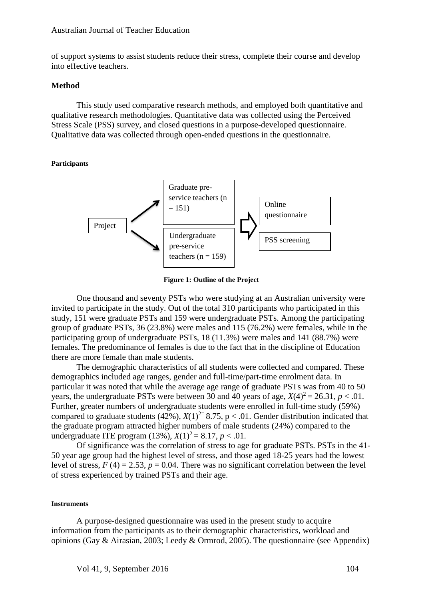of support systems to assist students reduce their stress, complete their course and develop into effective teachers.

#### **Method**

This study used comparative research methods, and employed both quantitative and qualitative research methodologies. Quantitative data was collected using the Perceived Stress Scale (PSS) survey, and closed questions in a purpose-developed questionnaire. Qualitative data was collected through open-ended questions in the questionnaire.

**Participants**



**Figure 1: Outline of the Project**

One thousand and seventy PSTs who were studying at an Australian university were invited to participate in the study. Out of the total 310 participants who participated in this study, 151 were graduate PSTs and 159 were undergraduate PSTs. Among the participating group of graduate PSTs, 36 (23.8%) were males and 115 (76.2%) were females, while in the participating group of undergraduate PSTs, 18 (11.3%) were males and 141 (88.7%) were females. The predominance of females is due to the fact that in the discipline of Education there are more female than male students.

The demographic characteristics of all students were collected and compared. These demographics included age ranges, gender and full-time/part-time enrolment data. In particular it was noted that while the average age range of graduate PSTs was from 40 to 50 years, the undergraduate PSTs were between 30 and 40 years of age,  $X(4)^2 = 26.31$ ,  $p < .01$ . Further, greater numbers of undergraduate students were enrolled in full-time study (59%) compared to graduate students (42%),  $X(1)^{2}$ = 8.75, p < .01. Gender distribution indicated that the graduate program attracted higher numbers of male students (24%) compared to the undergraduate ITE program  $(13\%, X(1)^2 = 8.17, p < .01$ .

Of significance was the correlation of stress to age for graduate PSTs. PSTs in the 41- 50 year age group had the highest level of stress, and those aged 18-25 years had the lowest level of stress,  $F(4) = 2.53$ ,  $p = 0.04$ . There was no significant correlation between the level of stress experienced by trained PSTs and their age.

#### **Instruments**

A purpose-designed questionnaire was used in the present study to acquire information from the participants as to their demographic characteristics, workload and opinions (Gay & Airasian, 2003; Leedy & Ormrod, 2005). The questionnaire (see Appendix)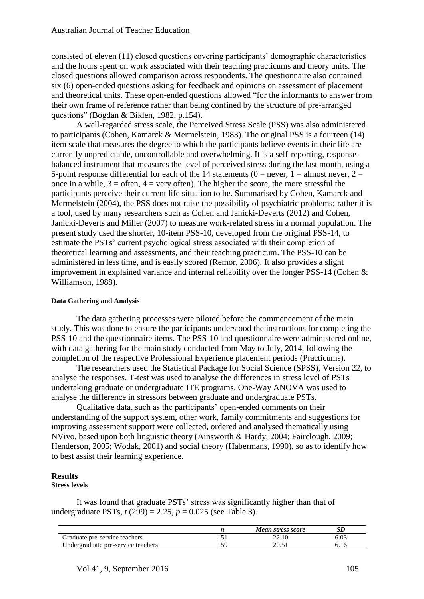consisted of eleven (11) closed questions covering participants' demographic characteristics and the hours spent on work associated with their teaching practicums and theory units. The closed questions allowed comparison across respondents. The questionnaire also contained six (6) open-ended questions asking for feedback and opinions on assessment of placement and theoretical units. These open-ended questions allowed "for the informants to answer from their own frame of reference rather than being confined by the structure of pre-arranged questions" (Bogdan & Biklen, 1982, p.154).

A well-regarded stress scale, the Perceived Stress Scale (PSS) was also administered to participants (Cohen, Kamarck & Mermelstein, 1983). The original PSS is a fourteen (14) item scale that measures the degree to which the participants believe events in their life are currently unpredictable, uncontrollable and overwhelming. It is a self-reporting, responsebalanced instrument that measures the level of perceived stress during the last month, using a 5-point response differential for each of the 14 statements ( $0 =$  never,  $1 =$  almost never,  $2 =$ once in a while,  $3 =$  often,  $4 =$  very often). The higher the score, the more stressful the participants perceive their current life situation to be. Summarised by Cohen, Kamarck and Mermelstein (2004), the PSS does not raise the possibility of psychiatric problems; rather it is a tool, used by many researchers such as Cohen and Janicki-Deverts (2012) and Cohen, Janicki-Deverts and Miller (2007) to measure work-related stress in a normal population. The present study used the shorter, 10-item PSS-10, developed from the original PSS-14, to estimate the PSTs' current psychological stress associated with their completion of theoretical learning and assessments, and their teaching practicum. The PSS-10 can be administered in less time, and is easily scored (Remor, 2006). It also provides a slight improvement in explained variance and internal reliability over the longer PSS-14 (Cohen & Williamson, 1988).

#### **Data Gathering and Analysis**

The data gathering processes were piloted before the commencement of the main study. This was done to ensure the participants understood the instructions for completing the PSS-10 and the questionnaire items. The PSS-10 and questionnaire were administered online, with data gathering for the main study conducted from May to July, 2014, following the completion of the respective Professional Experience placement periods (Practicums).

The researchers used the Statistical Package for Social Science (SPSS), Version 22, to analyse the responses. T-test was used to analyse the differences in stress level of PSTs undertaking graduate or undergraduate ITE programs. One-Way ANOVA was used to analyse the difference in stressors between graduate and undergraduate PSTs.

Qualitative data, such as the participants' open-ended comments on their understanding of the support system, other work, family commitments and suggestions for improving assessment support were collected, ordered and analysed thematically using NVivo, based upon both linguistic theory (Ainsworth & Hardy, 2004; Fairclough, 2009; Henderson, 2005; Wodak, 2001) and social theory (Habermans, 1990), so as to identify how to best assist their learning experience.

#### **Results**

#### **Stress levels**

It was found that graduate PSTs' stress was significantly higher than that of undergraduate PSTs,  $t(299) = 2.25$ ,  $p = 0.025$  (see Table 3).

|                                    |     | Mean stress score |      |
|------------------------------------|-----|-------------------|------|
| Graduate pre-service teachers      |     | 22.10             | 6.03 |
| Undergraduate pre-service teachers | .59 | 20.51             | 6.16 |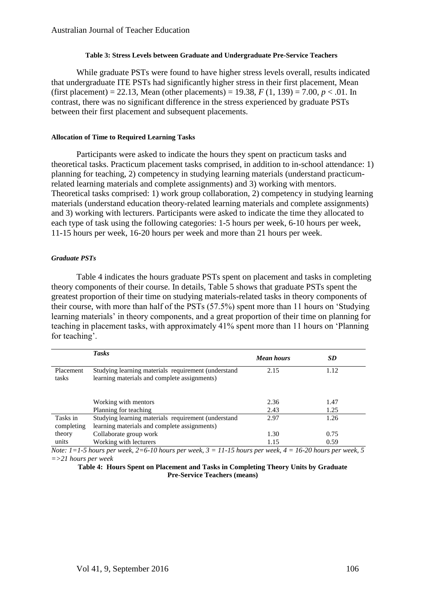#### **Table 3: Stress Levels between Graduate and Undergraduate Pre-Service Teachers**

While graduate PSTs were found to have higher stress levels overall, results indicated that undergraduate ITE PSTs had significantly higher stress in their first placement, Mean (first placement) = 22.13, Mean (other placements) = 19.38,  $F(1, 139) = 7.00$ ,  $p < .01$ . In contrast, there was no significant difference in the stress experienced by graduate PSTs between their first placement and subsequent placements.

#### **Allocation of Time to Required Learning Tasks**

Participants were asked to indicate the hours they spent on practicum tasks and theoretical tasks. Practicum placement tasks comprised, in addition to in-school attendance: 1) planning for teaching, 2) competency in studying learning materials (understand practicumrelated learning materials and complete assignments) and 3) working with mentors. Theoretical tasks comprised: 1) work group collaboration, 2) competency in studying learning materials (understand education theory-related learning materials and complete assignments) and 3) working with lecturers. Participants were asked to indicate the time they allocated to each type of task using the following categories: 1-5 hours per week, 6-10 hours per week, 11-15 hours per week, 16-20 hours per week and more than 21 hours per week.

#### *Graduate PSTs*

Table 4 indicates the hours graduate PSTs spent on placement and tasks in completing theory components of their course. In details, Table 5 shows that graduate PSTs spent the greatest proportion of their time on studying materials-related tasks in theory components of their course, with more than half of the PSTs (57.5%) spent more than 11 hours on 'Studying learning materials' in theory components, and a great proportion of their time on planning for teaching in placement tasks, with approximately 41% spent more than 11 hours on 'Planning for teaching'.

|                        | <b>Tasks</b>                                                                                        | <b>Mean hours</b> | <b>SD</b> |
|------------------------|-----------------------------------------------------------------------------------------------------|-------------------|-----------|
| Placement<br>tasks     | Studying learning materials requirement (understand<br>learning materials and complete assignments) | 2.15              | 1.12      |
|                        | Working with mentors                                                                                | 2.36              | 1.47      |
|                        | Planning for teaching                                                                               | 2.43              | 1.25      |
| Tasks in<br>completing | Studying learning materials requirement (understand<br>learning materials and complete assignments) | 2.97              | 1.26      |
| theory                 | Collaborate group work                                                                              | 1.30              | 0.75      |
| units<br>.             | Working with lecturers<br>.                                                                         | 1.15<br>.         | 0.59      |

*Note: 1=1-5 hours per week, 2=6-10 hours per week, 3 = 11-15 hours per week, 4 = 16-20 hours per week, 5 =>21 hours per week*

**Table 4: Hours Spent on Placement and Tasks in Completing Theory Units by Graduate Pre-Service Teachers (means)**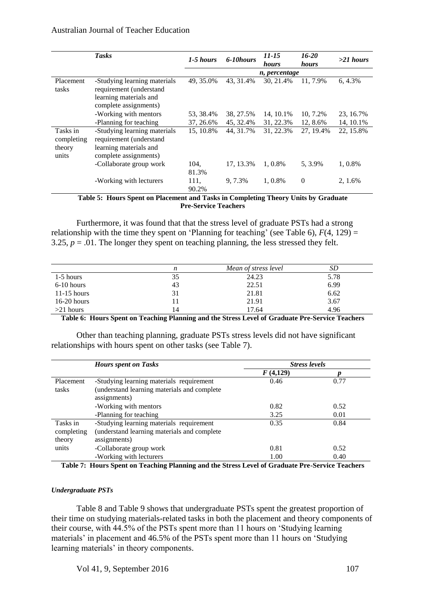|                                           | <b>Tasks</b>                                                                                               | 1-5 hours     | 6-10hours | 11-15<br>hours | $16 - 20$<br><i>hours</i> | $>21$ hours |
|-------------------------------------------|------------------------------------------------------------------------------------------------------------|---------------|-----------|----------------|---------------------------|-------------|
|                                           |                                                                                                            |               |           | n, percentage  |                           |             |
| Placement<br>tasks                        | -Studying learning materials<br>requirement (understand<br>learning materials and<br>complete assignments) | 49, 35.0%     | 43, 31.4% | 30, 21.4%      | 11, 7.9%                  | 6, 4.3%     |
|                                           | -Working with mentors                                                                                      | 53, 38.4%     | 38, 27.5% | 14, 10.1%      | 10, 7.2%                  | 23, 16.7%   |
|                                           | -Planning for teaching                                                                                     | 37, 26.6%     | 45, 32.4% | 31, 22.3%      | 12, 8.6%                  | 14, 10.1%   |
| Tasks in<br>completing<br>theory<br>units | -Studying learning materials<br>requirement (understand<br>learning materials and<br>complete assignments) | 15, 10.8%     | 44, 31.7% | 31, 22.3%      | 27, 19.4%                 | 22, 15.8%   |
|                                           | -Collaborate group work                                                                                    | 104,<br>81.3% | 17, 13.3% | 1.0.8%         | 5, 3.9%                   | 1, 0.8%     |
|                                           | -Working with lecturers                                                                                    | 111,<br>90.2% | 9, 7.3%   | 1.0.8%         | $\mathbf{0}$              | 2, 1.6%     |

**Table 5: Hours Spent on Placement and Tasks in Completing Theory Units by Graduate Pre-Service Teachers**

Furthermore, it was found that that the stress level of graduate PSTs had a strong relationship with the time they spent on 'Planning for teaching' (see Table 6),  $F(4, 129) =$ 3.25,  $p = 0.01$ . The longer they spent on teaching planning, the less stressed they felt.

|               | n  | Mean of stress level | SD   |
|---------------|----|----------------------|------|
| $1-5$ hours   | 35 | 24.23                | 5.78 |
| $6-10$ hours  | 43 | 22.51                | 6.99 |
| $11-15$ hours | 31 | 21.81                | 6.62 |
| $16-20$ hours |    | 21.91                | 3.67 |
| $>21$ hours   | 14 | 17.64                | 4.96 |

**Table 6: Hours Spent on Teaching Planning and the Stress Level of Graduate Pre-Service Teachers**

Other than teaching planning, graduate PSTs stress levels did not have significant relationships with hours spent on other tasks (see Table 7).

|            | <b>Hours spent on Tasks</b>                 | <b>Stress levels</b> |      |  |
|------------|---------------------------------------------|----------------------|------|--|
|            |                                             | F(4,129)             |      |  |
| Placement  | -Studying learning materials requirement    | 0.46                 | 0.77 |  |
| tasks      | (understand learning materials and complete |                      |      |  |
|            | assignments)                                |                      |      |  |
|            | -Working with mentors                       | 0.82                 | 0.52 |  |
|            | -Planning for teaching                      | 3.25                 | 0.01 |  |
| Tasks in   | -Studying learning materials requirement    | 0.35                 | 0.84 |  |
| completing | (understand learning materials and complete |                      |      |  |
| theory     | assignments)                                |                      |      |  |
| units      | -Collaborate group work                     | 0.81                 | 0.52 |  |
|            | -Working with lecturers                     | 1.00                 | 0.40 |  |

**Table 7: Hours Spent on Teaching Planning and the Stress Level of Graduate Pre-Service Teachers**

#### *Undergraduate PSTs*

Table 8 and Table 9 shows that undergraduate PSTs spent the greatest proportion of their time on studying materials-related tasks in both the placement and theory components of their course, with 44.5% of the PSTs spent more than 11 hours on 'Studying learning materials' in placement and 46.5% of the PSTs spent more than 11 hours on 'Studying learning materials' in theory components.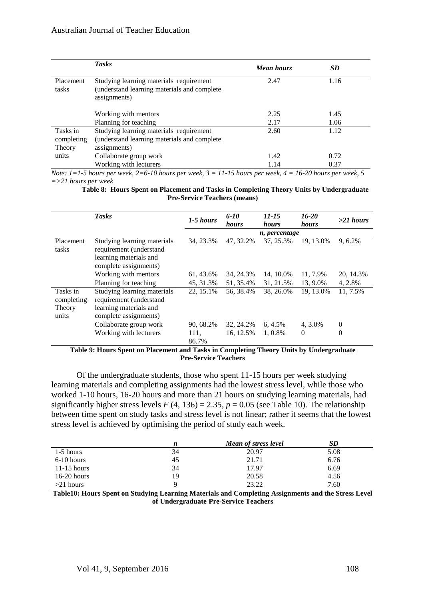|                                  | <b>Tasks</b>                                                                                           | <b>Mean hours</b> | <b>SD</b>    |
|----------------------------------|--------------------------------------------------------------------------------------------------------|-------------------|--------------|
| Placement<br>tasks               | Studying learning materials requirement<br>(understand learning materials and complete<br>assignments) | 2.47              | 1.16         |
|                                  | Working with mentors<br>Planning for teaching                                                          | 2.25<br>2.17      | 1.45<br>1.06 |
| Tasks in<br>completing<br>Theory | Studying learning materials requirement<br>(understand learning materials and complete<br>assignments) | 2.60              | 1.12         |
| units                            | Collaborate group work<br>Working with lecturers                                                       | 1.42<br>1.14      | 0.72<br>0.37 |

*Note: 1=1-5 hours per week, 2=6-10 hours per week, 3 = 11-15 hours per week, 4 = 16-20 hours per week, 5 =>21 hours per week*

**Table 8: Hours Spent on Placement and Tasks in Completing Theory Units by Undergraduate Pre-Service Teachers (means)**

|                                           | <b>Tasks</b>                                                                                              | 1-5 hours     | $6 - 10$<br>hours | $11 - 15$<br>hours | $16 - 20$<br>hours | $>21$ hours    |
|-------------------------------------------|-----------------------------------------------------------------------------------------------------------|---------------|-------------------|--------------------|--------------------|----------------|
|                                           |                                                                                                           |               |                   | n, percentage      |                    |                |
| Placement<br>tasks                        | Studying learning materials<br>requirement (understand<br>learning materials and<br>complete assignments) | 34, 23.3%     | 47.32.2%          | 37, 25.3%          | 19.13.0%           | 9, 6.2%        |
|                                           | Working with mentors                                                                                      | 61, 43.6%     | 34, 24.3%         | 14, 10.0%          | 11, 7.9%           | 20, 14.3%      |
|                                           | Planning for teaching                                                                                     | 45, 31.3%     | 51, 35.4%         | 31, 21.5%          | 13, 9.0%           | 4, 2.8%        |
| Tasks in<br>completing<br>Theory<br>units | Studying learning materials<br>requirement (understand<br>learning materials and<br>complete assignments) | 22, 15.1%     | 56, 38.4%         | 38, 26.0%          | 19, 13.0%          | 11, 7.5%       |
|                                           | Collaborate group work                                                                                    | 90, 68.2%     | 32, 24.2%         | $6, 4.5\%$         | 4, 3.0%            | $\overline{0}$ |
|                                           | Working with lecturers                                                                                    | 111.<br>86.7% | 16, 12.5%         | 1, 0.8%            | $\theta$           | $\Omega$       |

**Table 9: Hours Spent on Placement and Tasks in Completing Theory Units by Undergraduate Pre-Service Teachers**

Of the undergraduate students, those who spent 11-15 hours per week studying learning materials and completing assignments had the lowest stress level, while those who worked 1-10 hours, 16-20 hours and more than 21 hours on studying learning materials, had significantly higher stress levels  $F(4, 136) = 2.35$ ,  $p = 0.05$  (see Table 10). The relationship between time spent on study tasks and stress level is not linear; rather it seems that the lowest stress level is achieved by optimising the period of study each week.

|               | n  | Mean of stress level |      |
|---------------|----|----------------------|------|
| $1-5$ hours   | 34 | 20.97                | 5.08 |
| $6-10$ hours  | 45 | 21.71                | 6.76 |
| $11-15$ hours | 34 | 17.97                | 6.69 |
| $16-20$ hours | 19 | 20.58                | 4.56 |
| $>21$ hours   |    | 23.22                | 7.60 |

**Table10: Hours Spent on Studying Learning Materials and Completing Assignments and the Stress Level of Undergraduate Pre-Service Teachers**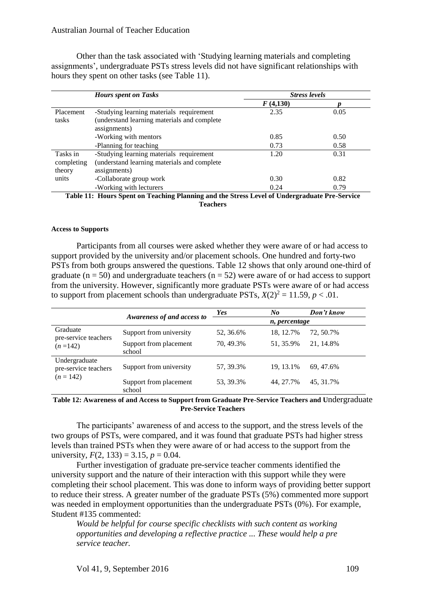Other than the task associated with 'Studying learning materials and completing assignments', undergraduate PSTs stress levels did not have significant relationships with hours they spent on other tasks (see Table 11).

|            | <b>Hours spent on Tasks</b>                                                                 | <b>Stress levels</b> |      |
|------------|---------------------------------------------------------------------------------------------|----------------------|------|
|            |                                                                                             | F(4,130)             |      |
| Placement  | -Studying learning materials requirement                                                    | 2.35                 | 0.05 |
| tasks      | (understand learning materials and complete                                                 |                      |      |
|            | assignments)                                                                                |                      |      |
|            | -Working with mentors                                                                       | 0.85                 | 0.50 |
|            | -Planning for teaching                                                                      | 0.73                 | 0.58 |
| Tasks in   | -Studying learning materials requirement                                                    | 1.20                 | 0.31 |
| completing | (understand learning materials and complete                                                 |                      |      |
| theory     | assignments)                                                                                |                      |      |
| units      | -Collaborate group work                                                                     | 0.30                 | 0.82 |
|            | -Working with lecturers                                                                     | 0.24                 | 0.79 |
|            | Tokla 11. Hanne Cuant on Togolina Dlaming and the Ctures I and af Hudenon ducts Due Courtes |                      |      |

**Table 11: Hours Spent on Teaching Planning and the Stress Level of Undergraduate Pre-Service Teachers**

#### **Access to Supports**

Participants from all courses were asked whether they were aware of or had access to support provided by the university and/or placement schools. One hundred and forty-two PSTs from both groups answered the questions. Table 12 shows that only around one-third of graduate ( $n = 50$ ) and undergraduate teachers ( $n = 52$ ) were aware of or had access to support from the university. However, significantly more graduate PSTs were aware of or had access to support from placement schools than undergraduate PSTs,  $X(2)^2 = 11.59$ ,  $p < .01$ .

|                                       | Awareness of and access to       | Yes           | No        | Don't know |
|---------------------------------------|----------------------------------|---------------|-----------|------------|
|                                       |                                  | n, percentage |           |            |
| Graduate<br>pre-service teachers      | Support from university          | 52, 36.6%     | 18, 12.7% | 72, 50.7%  |
| $(n=142)$                             | Support from placement<br>school | 70, 49.3%     | 51, 35.9% | 21, 14.8%  |
| Undergraduate<br>pre-service teachers | Support from university          | 57, 39.3%     | 19, 13.1% | 69, 47.6%  |
| $(n = 142)$                           | Support from placement<br>school | 53, 39.3%     | 44, 27.7% | 45, 31.7%  |

#### **Table 12: Awareness of and Access to Support from Graduate Pre-Service Teachers and U**ndergraduate **Pre-Service Teachers**

The participants' awareness of and access to the support, and the stress levels of the two groups of PSTs, were compared, and it was found that graduate PSTs had higher stress levels than trained PSTs when they were aware of or had access to the support from the university,  $F(2, 133) = 3.15$ ,  $p = 0.04$ .

Further investigation of graduate pre-service teacher comments identified the university support and the nature of their interaction with this support while they were completing their school placement. This was done to inform ways of providing better support to reduce their stress. A greater number of the graduate PSTs (5%) commented more support was needed in employment opportunities than the undergraduate PSTs (0%). For example, Student #135 commented:

*Would be helpful for course specific checklists with such content as working opportunities and developing a reflective practice ... These would help a pre service teacher.*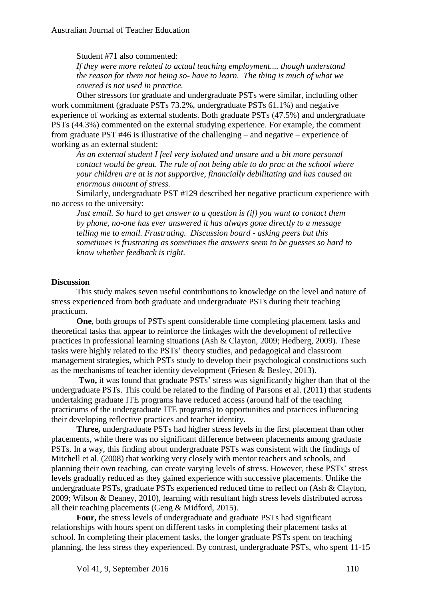Student #71 also commented:

*If they were more related to actual teaching employment.... though understand the reason for them not being so- have to learn. The thing is much of what we covered is not used in practice.*

Other stressors for graduate and undergraduate PSTs were similar, including other work commitment (graduate PSTs 73.2%, undergraduate PSTs 61.1%) and negative experience of working as external students. Both graduate PSTs (47.5%) and undergraduate PSTs (44.3%) commented on the external studying experience. For example, the comment from graduate PST #46 is illustrative of the challenging – and negative – experience of working as an external student:

*As an external student I feel very isolated and unsure and a bit more personal contact would be great. The rule of not being able to do prac at the school where your children are at is not supportive, financially debilitating and has caused an enormous amount of stress.*

Similarly, undergraduate PST #129 described her negative practicum experience with no access to the university:

*Just email. So hard to get answer to a question is (if) you want to contact them by phone, no-one has ever answered it has always gone directly to a message telling me to email. Frustrating. Discussion board - asking peers but this sometimes is frustrating as sometimes the answers seem to be guesses so hard to know whether feedback is right.*

#### **Discussion**

This study makes seven useful contributions to knowledge on the level and nature of stress experienced from both graduate and undergraduate PSTs during their teaching practicum.

**One**, both groups of PSTs spent considerable time completing placement tasks and theoretical tasks that appear to reinforce the linkages with the development of reflective practices in professional learning situations (Ash & Clayton, 2009; Hedberg, 2009). These tasks were highly related to the PSTs' theory studies, and pedagogical and classroom management strategies, which PSTs study to develop their psychological constructions such as the mechanisms of teacher identity development (Friesen & Besley, 2013).

**Two,** it was found that graduate PSTs' stress was significantly higher than that of the undergraduate PSTs. This could be related to the finding of Parsons et al. (2011) that students undertaking graduate ITE programs have reduced access (around half of the teaching practicums of the undergraduate ITE programs) to opportunities and practices influencing their developing reflective practices and teacher identity.

**Three,** undergraduate PSTs had higher stress levels in the first placement than other placements, while there was no significant difference between placements among graduate PSTs. In a way, this finding about undergraduate PSTs was consistent with the findings of Mitchell et al. (2008) that working very closely with mentor teachers and schools, and planning their own teaching, can create varying levels of stress. However, these PSTs' stress levels gradually reduced as they gained experience with successive placements. Unlike the undergraduate PSTs, graduate PSTs experienced reduced time to reflect on (Ash & Clayton, 2009; Wilson & Deaney, 2010), learning with resultant high stress levels distributed across all their teaching placements (Geng & Midford, 2015).

**Four,** the stress levels of undergraduate and graduate PSTs had significant relationships with hours spent on different tasks in completing their placement tasks at school. In completing their placement tasks, the longer graduate PSTs spent on teaching planning, the less stress they experienced. By contrast, undergraduate PSTs, who spent 11-15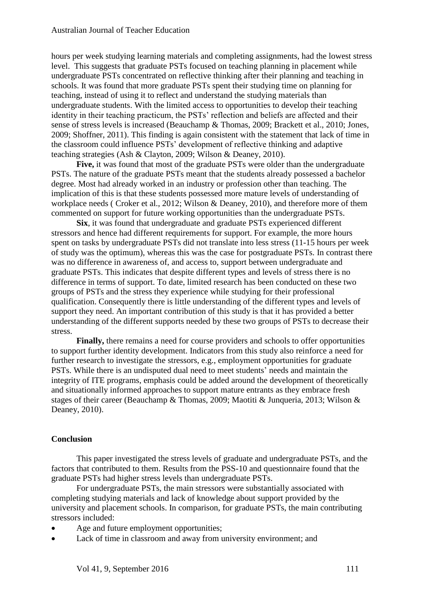hours per week studying learning materials and completing assignments, had the lowest stress level. This suggests that graduate PSTs focused on teaching planning in placement while undergraduate PSTs concentrated on reflective thinking after their planning and teaching in schools. It was found that more graduate PSTs spent their studying time on planning for teaching, instead of using it to reflect and understand the studying materials than undergraduate students. With the limited access to opportunities to develop their teaching identity in their teaching practicum, the PSTs' reflection and beliefs are affected and their sense of stress levels is increased (Beauchamp & Thomas, 2009; Brackett et al., 2010; Jones, 2009; Shoffner, 2011). This finding is again consistent with the statement that lack of time in the classroom could influence PSTs' development of reflective thinking and adaptive teaching strategies (Ash & Clayton, 2009; Wilson & Deaney, 2010).

**Five,** it was found that most of the graduate PSTs were older than the undergraduate PSTs. The nature of the graduate PSTs meant that the students already possessed a bachelor degree. Most had already worked in an industry or profession other than teaching. The implication of this is that these students possessed more mature levels of understanding of workplace needs ( Croker et al., 2012; Wilson & Deaney, 2010), and therefore more of them commented on support for future working opportunities than the undergraduate PSTs.

**Six**, it was found that undergraduate and graduate PSTs experienced different stressors and hence had different requirements for support. For example, the more hours spent on tasks by undergraduate PSTs did not translate into less stress (11-15 hours per week of study was the optimum), whereas this was the case for postgraduate PSTs. In contrast there was no difference in awareness of, and access to, support between undergraduate and graduate PSTs. This indicates that despite different types and levels of stress there is no difference in terms of support. To date, limited research has been conducted on these two groups of PSTs and the stress they experience while studying for their professional qualification. Consequently there is little understanding of the different types and levels of support they need. An important contribution of this study is that it has provided a better understanding of the different supports needed by these two groups of PSTs to decrease their stress.

**Finally,** there remains a need for course providers and schools to offer opportunities to support further identity development. Indicators from this study also reinforce a need for further research to investigate the stressors, e.g., employment opportunities for graduate PSTs. While there is an undisputed dual need to meet students' needs and maintain the integrity of ITE programs, emphasis could be added around the development of theoretically and situationally informed approaches to support mature entrants as they embrace fresh stages of their career (Beauchamp & Thomas, 2009; Maotiti & Junqueria, 2013; Wilson & Deaney, 2010).

## **Conclusion**

This paper investigated the stress levels of graduate and undergraduate PSTs, and the factors that contributed to them. Results from the PSS-10 and questionnaire found that the graduate PSTs had higher stress levels than undergraduate PSTs.

For undergraduate PSTs, the main stressors were substantially associated with completing studying materials and lack of knowledge about support provided by the university and placement schools. In comparison, for graduate PSTs, the main contributing stressors included:

- Age and future employment opportunities;
- Lack of time in classroom and away from university environment; and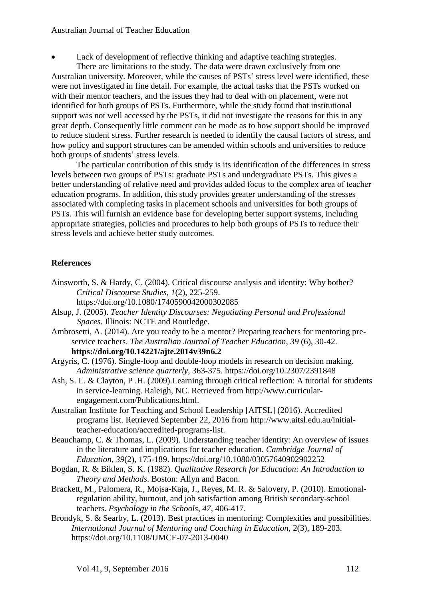Lack of development of reflective thinking and adaptive teaching strategies.

There are limitations to the study. The data were drawn exclusively from one Australian university. Moreover, while the causes of PSTs' stress level were identified, these were not investigated in fine detail. For example, the actual tasks that the PSTs worked on with their mentor teachers, and the issues they had to deal with on placement, were not identified for both groups of PSTs. Furthermore, while the study found that institutional support was not well accessed by the PSTs, it did not investigate the reasons for this in any great depth. Consequently little comment can be made as to how support should be improved to reduce student stress. Further research is needed to identify the causal factors of stress, and how policy and support structures can be amended within schools and universities to reduce both groups of students' stress levels.

The particular contribution of this study is its identification of the differences in stress levels between two groups of PSTs: graduate PSTs and undergraduate PSTs. This gives a better understanding of relative need and provides added focus to the complex area of teacher education programs. In addition, this study provides greater understanding of the stresses associated with completing tasks in placement schools and universities for both groups of PSTs. This will furnish an evidence base for developing better support systems, including appropriate strategies, policies and procedures to help both groups of PSTs to reduce their stress levels and achieve better study outcomes.

## **References**

- Ainsworth, S. & Hardy, C. (2004). Critical discourse analysis and identity: Why bother? *Critical Discourse Studies*, *1*(2), 225-259. <https://doi.org/10.1080/1740590042000302085>
- Alsup, J. (2005). *Teacher Identity Discourses: Negotiating Personal and Professional Spaces.* Illinois: NCTE and Routledge.
- Ambrosetti, A. (2014). Are you ready to be a mentor? Preparing teachers for mentoring preservice teachers. *The Australian Journal of Teacher Education*, *39* (6), 30-42. **<https://doi.org/10.14221/ajte.2014v39n6.2>**
- Argyris, C. (1976). Single-loop and double-loop models in research on decision making. *Administrative science quarterly*, 363-375. <https://doi.org/10.2307/2391848>
- Ash, S. L. & Clayton, P .H. (2009).Learning through critical reflection: A tutorial for students in service-learning. Raleigh, NC. Retrieved from http://www.curricularengagement.com/Publications.html.
- Australian Institute for Teaching and School Leadership [AITSL] (2016). Accredited programs list. Retrieved September 22, 2016 from [http://www.aitsl.edu.au/initial](http://www.aitsl.edu.au/initial-teacher-education/accredited-programs-list)[teacher-education/accredited-programs-list.](http://www.aitsl.edu.au/initial-teacher-education/accredited-programs-list)
- Beauchamp, C. & Thomas, L. (2009). Understanding teacher identity: An overview of issues in the literature and implications for teacher education. *Cambridge Journal of Education*, *39*(2), 175-189. <https://doi.org/10.1080/03057640902902252>
- Bogdan, R. & Biklen, S. K. (1982). *Qualitative Research for Education: An Introduction to Theory and Methods*. Boston: Allyn and Bacon.
- Brackett, M., Palomera, R., Mojsa-Kaja, J., Reyes, M. R. & Salovery, P. (2010). Emotionalregulation ability, burnout, and job satisfaction among British secondary-school teachers. *Psychology in the Schools, 47*, 406-417.
- Brondyk, S. & Searby, L. (2013). Best practices in mentoring: Complexities and possibilities. *International Journal of Mentoring and Coaching in Education,* 2(3), 189-203. <https://doi.org/10.1108/IJMCE-07-2013-0040>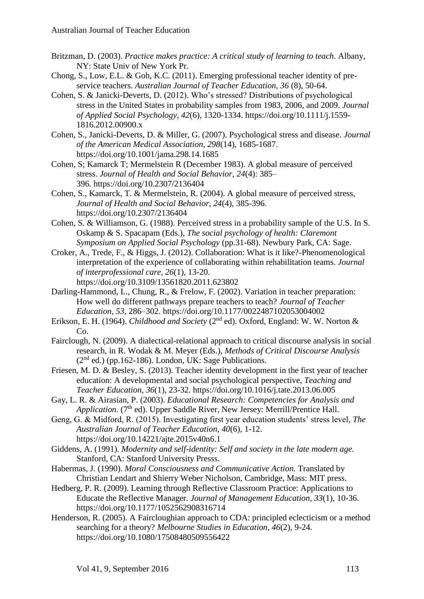- Britzman, D. (2003). *Practice makes practice: A critical study of learning to teach*. Albany, NY: State Univ of New York Pr.
- Chong, S., Low, E.L. & Goh, K.C. (2011). Emerging professional teacher identity of preservice teachers. *Australian Journal of Teacher Education, 36* (8), 50-64.
- Cohen, S. & Janicki-Deverts, D. (2012). Who's stressed? Distributions of psychological stress in the United States in probability samples from 1983, 2006, and 2009. *Journal of Applied Social Psychology, 42*(6), 1320-1334. [https://doi.org/10.1111/j.1559-](https://doi.org/10.1111/j.1559-1816.2012.00900.x) [1816.2012.00900.x](https://doi.org/10.1111/j.1559-1816.2012.00900.x)
- Cohen, S., Janicki-Deverts, D. & Miller, G. (2007). Psychological stress and disease. *Journal of the American Medical Association, 298*(14), 1685-1687. <https://doi.org/10.1001/jama.298.14.1685>
- Cohen, S; Kamarck T; Mermelstein R (December 1983). A global measure of perceived stress. *Journal of Health and Social Behavior, 24*(4): 385– 396. <https://doi.org/10.2307/2136404>
- Cohen, S., Kamarck, T. & Mermelstein, R. (2004). A global measure of perceived stress, *Journal of Health and Social Behavior, 24*(4), 385-396. <https://doi.org/10.2307/2136404>
- Cohen, S. & Williamson, G. (1988). [Perceived stress in a probability sample of the U.S.](http://www.psy.cmu.edu/~scohen/Cohen,%20S.%20&%20Williamson,%20G.%20(1988).pdf) In S. Oskamp & S. Spacapam (Eds.), *The social psychology of health: Claremont Symposium on Applied Social Psychology* (pp.31-68). Newbury Park, CA: Sage.
- Croker, A., Trede, F., & Higgs, J. (2012). Collaboration: What is it like?-Phenomenological interpretation of the experience of collaborating within rehabilitation teams. *Journal of interprofessional care, 26*(1), 13-20. <https://doi.org/10.3109/13561820.2011.623802>
- Darling-Hammond, L., Chung, R., & Frelow, F. (2002). Variation in teacher preparation:
- How well do different pathways prepare teachers to teach? *Journal of Teacher Education, 53*, 286–302. <https://doi.org/10.1177/0022487102053004002>
- Erikson, E. H. (1964). *Childhood and Society* (2nd ed). Oxford, England: W. W. Norton & Co.
- Fairclough, N. (2009). A dialectical-relational approach to critical discourse analysis in social research, in R. Wodak & M. Meyer (Eds.), *Methods of Critical Discourse Analysis*   $(2<sup>nd</sup>$  ed.) (pp.162-186). London, UK: Sage Publications.
- Friesen, M. D. & Besley, S. (2013). Teacher identity development in the first year of teacher education: A developmental and social psychological perspective, *Teaching and Teacher Education*, *36*(1), 23-32. <https://doi.org/10.1016/j.tate.2013.06.005>
- Gay, L. R. & Airasian, P. (2003). *Educational Research: Competencies for Analysis and Application.* (7<sup>th</sup> ed). Upper Saddle River, New Jersey: Merrill/Prentice Hall.
- Geng, G. & Midford, R. (2015). Investigating first year education students' stress level, *The Australian Journal of Teacher Education, 40*(6), 1-12. <https://doi.org/10.14221/ajte.2015v40n6.1>
- Giddens, A. (1991). *Modernity and self-identity: Self and society in the late modern age.* Stanford, CA: Stanford University Presss.
- Habermas, J. (1990). *Moral Consciousness and Communicative Action.* Translated by Christian Lendart and Shierry Weber Nicholson, Cambridge, Mass: MIT press.
- Hedberg, P. R. (2009). Learning through Reflective Classroom Practice: Applications to Educate the Reflective Manager. *Journal of Management Education, 33*(1), 10-36. <https://doi.org/10.1177/1052562908316714>
- Henderson, R. (2005). A Faircloughian approach to CDA: principled eclecticism or a method searching for a theory? *Melbourne Studies in Education*, *46*(2), 9-24. <https://doi.org/10.1080/17508480509556422>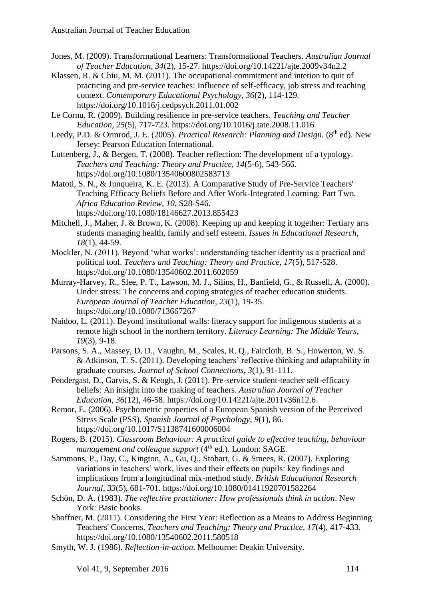- Jones, M. (2009). Transformational Learners: Transformational Teachers. *Australian Journal of Teacher Education, 34*(2), 15-27.<https://doi.org/10.14221/ajte.2009v34n2.2>
- Klassen, R. & Chiu, M. M. (2011). The occupational commitment and intetion to quit of practicing and pre-service teaches: Influence of self-efficacy, job stress and teaching context. *Contemporary Educational Psychology, 36*(2), 114-129. <https://doi.org/10.1016/j.cedpsych.2011.01.002>
- Le Cornu, R. (2009). Building resilience in pre-service teachers. *Teaching and Teacher Education, 25*(5), 717-723.<https://doi.org/10.1016/j.tate.2008.11.016>
- Leedy, P.D. & Ormrod, J. E. (2005). *Practical Research: Planning and Design.* (8<sup>th</sup> ed). New Jersey: Pearson Education International.
- Luttenberg, J., & Bergen, T. (2008). Teacher reflection: The development of a typology. *Teachers and Teaching: Theory and Practice, 14*(5-6), 543-566. <https://doi.org/10.1080/13540600802583713>
- Matoti, S. N., & Junqueira, K. E. (2013). A Comparative Study of Pre-Service Teachers' Teaching Efficacy Beliefs Before and After Work-Integrated Learning: Part Two. *Africa Education Review, 10*, S28-S46. <https://doi.org/10.1080/18146627.2013.855423>
- Mitchell, J., Maher, J. & Brown, K. (2008). Keeping up and keeping it together: Tertiary arts students managing health, family and self esteem. *Issues in Educational Research, 18*(1), 44-59.
- Mockler, N. (2011). Beyond 'what works': understanding teacher identity as a practical and political tool. *Teachers and Teaching: Theory and Practice, 17*(5), 517-528. <https://doi.org/10.1080/13540602.2011.602059>
- Murray-Harvey, R., Slee, P. T., Lawson, M. J., Silins, H., Banfield, G., & Russell, A. (2000). Under stress: The concerns and coping strategies of teacher education students. *European Journal of Teacher Education, 23*(1), 19-35. <https://doi.org/10.1080/713667267>
- Naidoo, L. (2011). Beyond institutional walls: literacy support for indigenous students at a remote high school in the northern territory. *[Literacy Learning: The Middle Years,](https://search.informit.com.au/browseJournalTitle;res=IELHSS;issn=1320-5692) 19*(3), 9-18.
- Parsons, S. A., Massey, D. D., Vaughn, M., Scales, R. Q., Faircloth, B. S., Howerton, W. S. & Atkinson, T. S. (2011). Developing teachers' reflective thinking and adaptability in graduate courses. *Journal of School Connections*, *3*(1), 91-111.
- Pendergast, D., Garvis, S. & Keogh, J. (2011). Pre-service student-teacher self-efficacy beliefs: An insight into the making of teachers. *Australian Journal of Teacher Education, 36*(12), 46-58. <https://doi.org/10.14221/ajte.2011v36n12.6>
- Remor, E. (2006). Psychometric properties of a European Spanish version of the Perceived Stress Scale (PSS). *Spanish Journal of Psychology, 9*(1), 86. <https://doi.org/10.1017/S1138741600006004>
- Rogers, B. (2015). *Classroom [Behaviour: A practical guide to effective teaching,](https://books.google.com.au/books?hl=en&lr=&id=ScWICwAAQBAJ&oi=fnd&pg=PP1&dq=rogers+2015+support+classroom&ots=Y6ORXFCmjL&sig=qf6U1EE5yBnDNKhethn-KXFs09c) behaviour [management and colleague support](https://books.google.com.au/books?hl=en&lr=&id=ScWICwAAQBAJ&oi=fnd&pg=PP1&dq=rogers+2015+support+classroom&ots=Y6ORXFCmjL&sig=qf6U1EE5yBnDNKhethn-KXFs09c)*  $(4<sup>th</sup>$  ed.). London: SAGE.
- Sammons, P., Day, C., Kington, A., Gu, Q., Stobart, G. & Smees, R. (2007). Exploring variations in teachers' work, lives and their effects on pupils: key findings and implications from a longitudinal mix-method study. *British Educational Research Journal, 33*(5), 681-701. <https://doi.org/10.1080/01411920701582264>
- Schön, D. A. (1983). *The reflective practitioner: How professionals think in action*. New York: Basic books.
- Shoffner, M. (2011). Considering the First Year: Reflection as a Means to Address Beginning Teachers' Concerns. *Teachers and Teaching: Theory and Practice, 17*(4), 417-433. <https://doi.org/10.1080/13540602.2011.580518>
- Smyth, W. J. (1986). *Reflection-in-action*. Melbourne: Deakin University.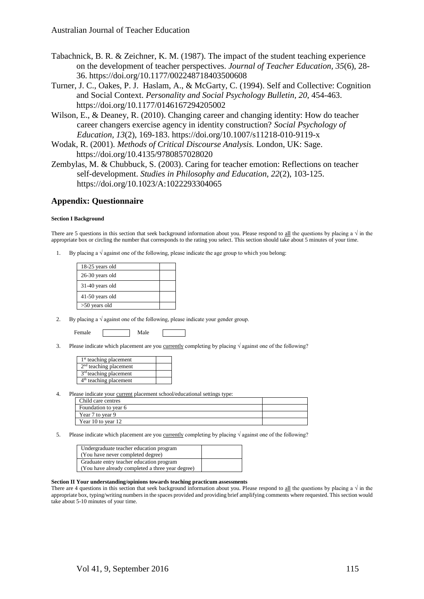- Tabachnick, B. R. & Zeichner, K. M. (1987). The impact of the student teaching experience on the development of teacher perspectives. *Journal of Teacher Education, 35*(6), 28- 36. <https://doi.org/10.1177/002248718403500608>
- Turner, J. C., Oakes, P. J. Haslam, A., & McGarty, C. (1994). Self and Collective: Cognition and Social Context. *Personality and Social Psychology Bulletin, 20*, 454-463. <https://doi.org/10.1177/0146167294205002>
- Wilson, E., & Deaney, R. (2010). Changing career and changing identity: How do teacher career changers exercise agency in identity construction? *Social Psychology of Education, 13*(2), 169-183.<https://doi.org/10.1007/s11218-010-9119-x>
- Wodak, R. (2001). *Methods of Critical Discourse Analysis.* London, UK: Sage. <https://doi.org/10.4135/9780857028020>
- Zembylas, M. & Chubbuck, S. (2003). Caring for teacher emotion: Reflections on teacher self-development. *Studies in Philosophy and Education, 22*(2), 103-125. <https://doi.org/10.1023/A:1022293304065>

#### **Appendix: Questionnaire**

#### **Section I Background**

There are 5 questions in this section that seek background information about you. Please respond to all the questions by placing a  $\sqrt{ }$  in the appropriate box or circling the number that corresponds to the rating you select. This section should take about 5 minutes of your time.

1. By placing a  $\sqrt{ }$  against one of the following, please indicate the age group to which you belong:

| 18-25 years old |  |
|-----------------|--|
| 26-30 years old |  |
| 31-40 years old |  |
| 41-50 years old |  |
| $>50$ years old |  |

2. By placing a  $\sqrt{ }$  against one of the following, please indicate your gender group.

Female Male

3. Please indicate which placement are you currently completing by placing √ against one of the following?

| 1 <sup>st</sup> teaching placement |  |
|------------------------------------|--|
| $2nd$ teaching placement           |  |
| $3rd$ teaching placement           |  |
| $4th$ teaching placement           |  |

4. Please indicate your current placement school/educational settings type:

| Child care centres   |  |
|----------------------|--|
| Foundation to year 6 |  |
| Year 7 to year 9     |  |
| Year 10 to year 12   |  |

5. Please indicate which placement are you <u>currently</u> completing by placing  $\sqrt{q}$  against one of the following?

| Undergraduate teacher education program<br>(You have never completed degree) |  |
|------------------------------------------------------------------------------|--|
| Graduate entry teacher education program                                     |  |
| (You have already completed a three year degree)                             |  |

#### **Section II Your understanding/opinions towards teaching practicum assessments**

There are 4 questions in this section that seek background information about you. Please respond to all the questions by placing a  $\sqrt{ }$  in the appropriate box, typing/writing numbers in the spaces provided and providing brief amplifying comments where requested. This section would take about 5-10 minutes of your time.